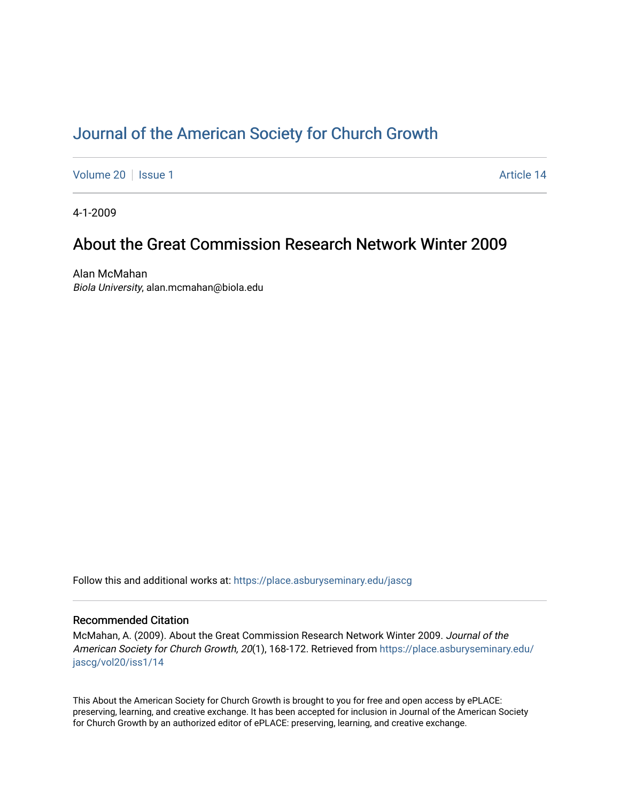# [Journal of the American Society for Church Growth](https://place.asburyseminary.edu/jascg)

[Volume 20](https://place.asburyseminary.edu/jascg/vol20) | [Issue 1](https://place.asburyseminary.edu/jascg/vol20/iss1) Article 14

4-1-2009

# About the Great Commission Research Network Winter 2009

Alan McMahan Biola University, alan.mcmahan@biola.edu

Follow this and additional works at: [https://place.asburyseminary.edu/jascg](https://place.asburyseminary.edu/jascg?utm_source=place.asburyseminary.edu%2Fjascg%2Fvol20%2Fiss1%2F14&utm_medium=PDF&utm_campaign=PDFCoverPages)

### Recommended Citation

McMahan, A. (2009). About the Great Commission Research Network Winter 2009. Journal of the American Society for Church Growth, 20(1), 168-172. Retrieved from [https://place.asburyseminary.edu/](https://place.asburyseminary.edu/jascg/vol20/iss1/14?utm_source=place.asburyseminary.edu%2Fjascg%2Fvol20%2Fiss1%2F14&utm_medium=PDF&utm_campaign=PDFCoverPages) [jascg/vol20/iss1/14](https://place.asburyseminary.edu/jascg/vol20/iss1/14?utm_source=place.asburyseminary.edu%2Fjascg%2Fvol20%2Fiss1%2F14&utm_medium=PDF&utm_campaign=PDFCoverPages) 

This About the American Society for Church Growth is brought to you for free and open access by ePLACE: preserving, learning, and creative exchange. It has been accepted for inclusion in Journal of the American Society for Church Growth by an authorized editor of ePLACE: preserving, learning, and creative exchange.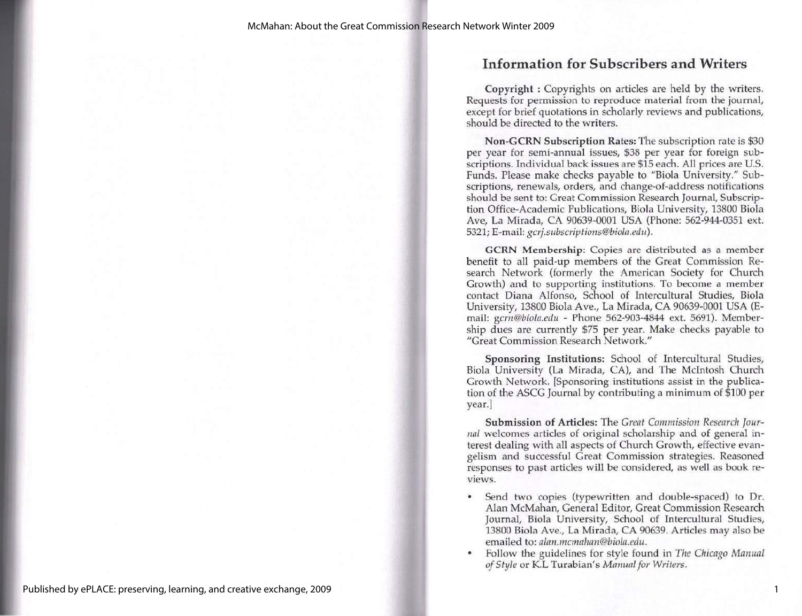## Information for Subscribers and Writers

Copyright : Copyrights on articles are held by the writers. Requests for permission to reproduce material from the journal, except for brief quotations in scholarly reviews and publications, should be directed to the writers.

Non-GCRN Subscription Rates: The subscription rate is \$30 per year for semi-annual issues, \$38 per year for foreign subscriptions. Individual back issues are \$15 each. All prices are U.S, Funds. Please make checks payable to "Biola University." Subscriptions, renewals, orders, and change-of-address notifications should be sent to: Great Commission Research Journal, Subscription Office-Academic Publications, Biola University, 13800 Biola Ave, La Mirada, CA 90639-0001 USA (Phone: 562-944-0351 ext. 5321; E-mail: gcrj.subscriptions@biola.edu).

GCRN Membership: Copies are distributed as a member benefit to all paid-up members of the Great Commission Research Network (formerly the American Society for Church Growth) and to supporting institutions. To become a member contact Diana Alfonso, School of Intercultural Studies, Biola University, 13800 Biola Ave., La Mirada, CA 90639-0001 USA (E-<br>mail: gcrn@biola.edu - Phone 562-903-4844 ext. 5691). Membermail: gcrn@biola.edu - Phone 562-903-4844 ext. 5691). Member-<br>ship dues are currently \$75 per year. Make checks payable to "Great Commission Research Network."

Sponsoring Institutions: School of Intercultural Studies, Biola University (La Mirada, CA), and The McIntosh Church Growth Network. [Sponsoring institutions assist in the publication of the ASCG Journal by contributing a minimum of \$100 per year.]

Submission of Articles: The Great Commission Research Jour-<br>nal welcomes articles of original scholarship and of general in-<br>terest dealing with all aspects of Church Growth, effective evangelism and successful Great Commission strategies. Reasoned responses to past articles will be considered, as well as book reviews.

- \* Send two copies (typewritten and double-spaced) to Dr. Alan McMahan, General Editor, Great Commission Research Journal, Biola University, School of Intercultural Studies, 13800 Biola Ave., La Mirada, CA 90639. Articles may also be emailed to: *alan.mcmahan@biola.edu.*<br>Follow the guidelines for style found in *The Chicago Manual*
- of Style or K.L Turabian's Manual for Writers.

1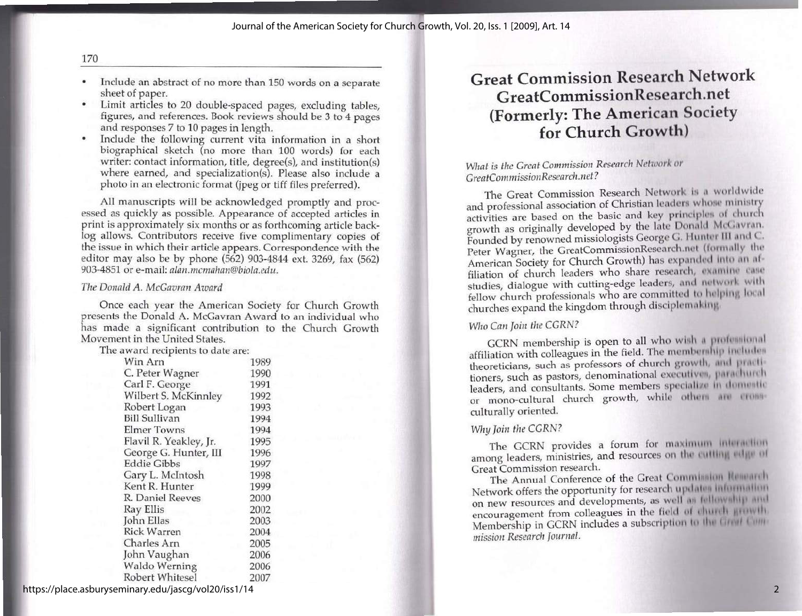- \* Include an abstract of no more than 150 words on a separate sheet of paper.
- \* Limit articles to 20 double-spaced pages, excluding tables, figures, and references. Book reviews should be 3 to 4 pages and responses 7 to 10 pages in length.
- \* Include the following current vita information in a short biographical sketch (no more than 100 words) for each writer: contact information, title, degree(s), and institution(s) where earned, and specialization(s). Please also include a photo in an electronic format (jpeg or tiff files preferred).

All manuscripts will be acknowledged promptly and processed as quickly as possible. Appearance of accepted articles in print is approximately six months or as forthcoming article backlog allows. Contributors receive five c

### The Donald A. McGavran Award

Once each year the American Society for Church Growth<br>presents the Donald A. McGavran Award to an individual who<br>has made a significant contribution to the Church Growth<br>Movement in the United States.<br>The award recipients

| Win Arn                | 1989 |
|------------------------|------|
| C. Peter Wagner        | 1990 |
| Carl F. George         | 1991 |
| Wilbert S. McKinnley   | 1992 |
| Robert Logan           | 1993 |
| <b>Bill Sullivan</b>   | 1994 |
| <b>Elmer Towns</b>     | 1994 |
| Flavil R. Yeakley, Jr. | 1995 |
| George G. Hunter, III  | 1996 |
| <b>Eddie Gibbs</b>     | 1997 |
| Gary L. McIntosh       | 1998 |
| Kent R. Hunter         | 1999 |
| R. Daniel Reeves       | 2000 |
| Ray Ellis              | 2002 |
| John Ellas             | 2003 |
| <b>Rick Warren</b>     | 2004 |
| Charles Arn            | 2005 |
| John Vaughan           | 2006 |
| Waldo Werning          | 2006 |
| Robert Whitesel        | 2007 |

# Great Commission Research Network GreatCommissionResearch.net (Formerly: The American Society for Church Growth)

### What is the Great Commission Research Network or GreatCommission Research.net?

The Great Commission Research Network is a worldwide and professional association of Christian leaders whose ministry<br>activities are based on the basic and key principles of church<br>growth as originally developed by the late Donald McGavran.<br>Founded by renowned missiologists studies, dialogue with cutting-edge leaders, and network with<br>fellow church professionals who are committed to helping local churches expand the kingdom through disciplemaking.

### Who Can Join the CGRN?

GCRN membership is open to all who wish a professional affiliation with colleagues in the field. The membership includes theoreticians, such as professors of church growth, and practitioners, such as pastors, denominational executives, parachurch leaders, and consultants. Some members specialize in domestic leaders, and consultants. Some members specialize in domestic or mono-cultural church growth, while other are cross-<br>culturally oriented.

#### Why Join the CGRN?

The GCRN provides a forum for maximum interaction The Great Commission research.<br>The Annual Conference of the Great Commission Research.<br>Network offers the opportunity for research updates information

on new resources and developments, as well as fellowship and encouragement from colleagues in the field of church growth Membership in GCRN includes a subscription to the Great Commission Research Journal.